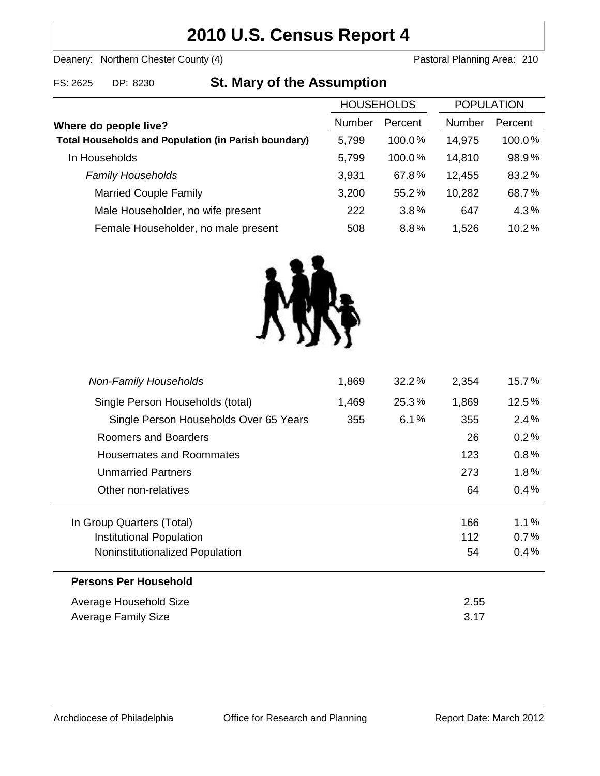# **2010 U.S. Census Report 4**

Deanery: Northern Chester County (4) Deanery: Northern Chester County (4)

## FS: 2625 DP: 8230 **St. Mary of the Assumption**

|                                                             | <b>HOUSEHOLDS</b> |           | <b>POPULATION</b> |           |
|-------------------------------------------------------------|-------------------|-----------|-------------------|-----------|
| Where do people live?                                       | <b>Number</b>     | Percent   | <b>Number</b>     | Percent   |
| <b>Total Households and Population (in Parish boundary)</b> | 5,799             | $100.0\%$ | 14,975            | $100.0\%$ |
| In Households                                               | 5,799             | 100.0%    | 14,810            | 98.9%     |
| <b>Family Households</b>                                    | 3,931             | 67.8%     | 12,455            | 83.2%     |
| <b>Married Couple Family</b>                                | 3,200             | 55.2%     | 10,282            | 68.7%     |
| Male Householder, no wife present                           | 222               | 3.8%      | 647               | 4.3%      |
| Female Householder, no male present                         | 508               | 8.8%      | 1,526             | 10.2%     |



| <b>Non-Family Households</b>           | 1,869 | $32.2\%$ | 2,354 | 15.7%   |
|----------------------------------------|-------|----------|-------|---------|
| Single Person Households (total)       | 1,469 | 25.3%    | 1,869 | 12.5%   |
| Single Person Households Over 65 Years | 355   | 6.1%     | 355   | 2.4%    |
| Roomers and Boarders                   |       |          | 26    | 0.2%    |
| Housemates and Roommates               |       |          | 123   | 0.8%    |
| <b>Unmarried Partners</b>              |       |          | 273   | $1.8\%$ |
| Other non-relatives                    |       |          | 64    | 0.4%    |
|                                        |       |          |       |         |
| In Group Quarters (Total)              |       |          | 166   | $1.1\%$ |
| Institutional Population               |       |          | 112   | $0.7\%$ |
| Noninstitutionalized Population        |       |          | 54    | 0.4%    |
| <b>Persons Per Household</b>           |       |          |       |         |
| Average Household Size                 |       |          | 2.55  |         |
| Average Family Size                    |       |          | 3.17  |         |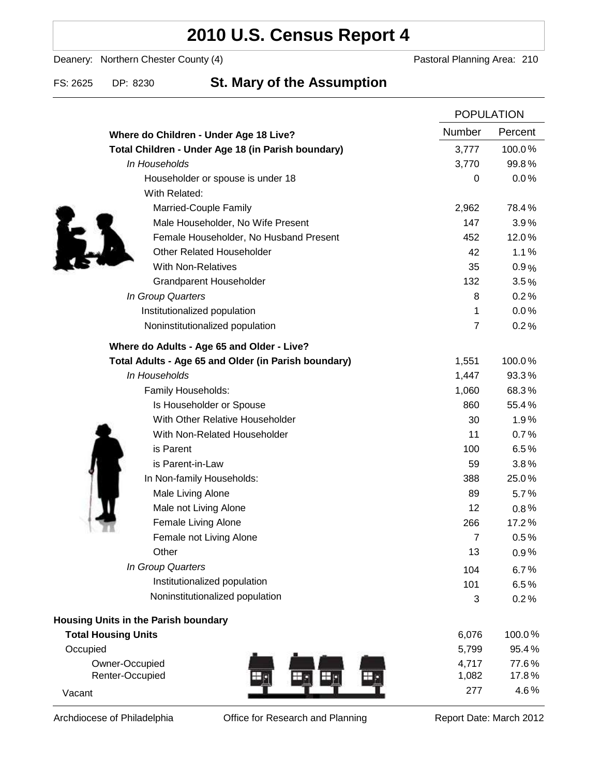# **2010 U.S. Census Report 4**

Deanery: Northern Chester County (4) Deanery: Northern Chester County (4)

### FS: 2625 DP: 8230 **St. Mary of the Assumption**

|                                                      | <b>POPULATION</b> |         |
|------------------------------------------------------|-------------------|---------|
| Where do Children - Under Age 18 Live?               | <b>Number</b>     | Percent |
| Total Children - Under Age 18 (in Parish boundary)   | 3,777             | 100.0%  |
| In Households                                        | 3,770             | 99.8%   |
| Householder or spouse is under 18                    | $\boldsymbol{0}$  | 0.0%    |
| With Related:                                        |                   |         |
| Married-Couple Family                                | 2,962             | 78.4%   |
| Male Householder, No Wife Present                    | 147               | 3.9%    |
| Female Householder, No Husband Present               | 452               | 12.0%   |
| <b>Other Related Householder</b>                     | 42                | 1.1%    |
| <b>With Non-Relatives</b>                            | 35                | 0.9%    |
| Grandparent Householder                              | 132               | 3.5%    |
| In Group Quarters                                    | 8                 | 0.2%    |
| Institutionalized population                         | 1                 | 0.0%    |
| Noninstitutionalized population                      | $\overline{7}$    | 0.2%    |
| Where do Adults - Age 65 and Older - Live?           |                   |         |
| Total Adults - Age 65 and Older (in Parish boundary) | 1,551             | 100.0%  |
| In Households                                        | 1,447             | 93.3%   |
| Family Households:                                   | 1,060             | 68.3%   |
| Is Householder or Spouse                             | 860               | 55.4%   |
| With Other Relative Householder                      | 30                | 1.9%    |
| With Non-Related Householder                         | 11                | 0.7%    |
| is Parent                                            | 100               | 6.5%    |
| is Parent-in-Law                                     | 59                | 3.8%    |
| In Non-family Households:                            | 388               | 25.0%   |
| Male Living Alone                                    | 89                | 5.7%    |
| Male not Living Alone                                | 12                | $0.8\%$ |
| Female Living Alone                                  | 266               | 17.2%   |
| Female not Living Alone                              | $\overline{7}$    | 0.5%    |
| Other                                                | 13                | 0.9%    |
| In Group Quarters                                    | 104               | 6.7%    |
| Institutionalized population                         | 101               | 6.5%    |
| Noninstitutionalized population                      | 3                 | 0.2%    |
| Housing Units in the Parish boundary                 |                   |         |
| <b>Total Housing Units</b>                           | 6,076             | 100.0%  |
| Occupied                                             | 5,799             | 95.4%   |
| Owner-Occupied                                       | 4,717             | 77.6%   |
| Renter-Occupied                                      | 1,082             | 17.8%   |
| Vacant                                               | 277               | 4.6%    |

Archdiocese of Philadelphia **Office for Research and Planning** Report Date: March 2012